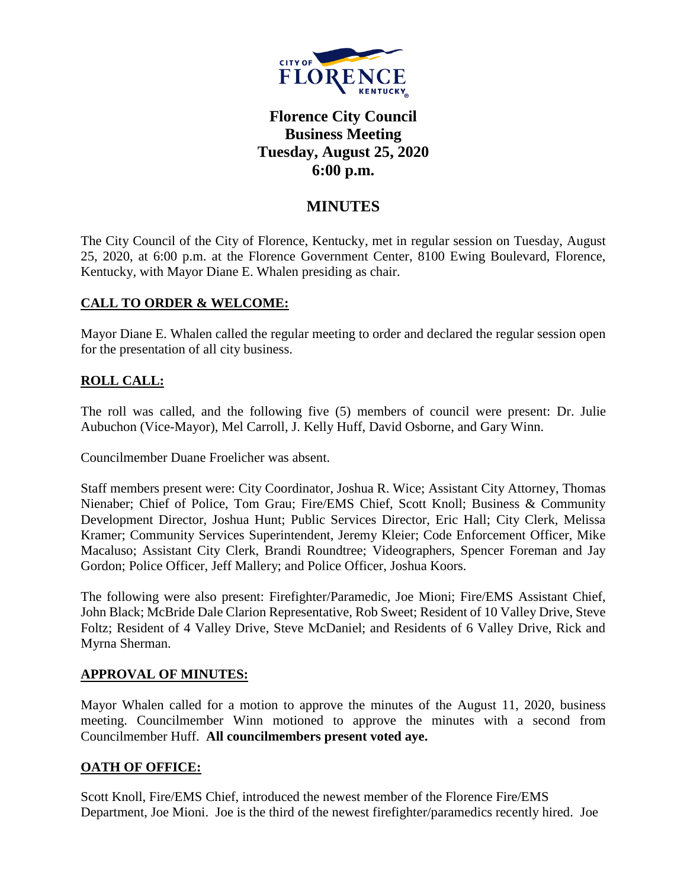

# **Florence City Council Business Meeting Tuesday, August 25, 2020 6:00 p.m.**

## **MINUTES**

The City Council of the City of Florence, Kentucky, met in regular session on Tuesday, August 25, 2020, at 6:00 p.m. at the Florence Government Center, 8100 Ewing Boulevard, Florence, Kentucky, with Mayor Diane E. Whalen presiding as chair.

### **CALL TO ORDER & WELCOME:**

Mayor Diane E. Whalen called the regular meeting to order and declared the regular session open for the presentation of all city business.

### **ROLL CALL:**

The roll was called, and the following five (5) members of council were present: Dr. Julie Aubuchon (Vice-Mayor), Mel Carroll, J. Kelly Huff, David Osborne, and Gary Winn.

Councilmember Duane Froelicher was absent.

Staff members present were: City Coordinator, Joshua R. Wice; Assistant City Attorney, Thomas Nienaber; Chief of Police, Tom Grau; Fire/EMS Chief, Scott Knoll; Business & Community Development Director, Joshua Hunt; Public Services Director, Eric Hall; City Clerk, Melissa Kramer; Community Services Superintendent, Jeremy Kleier; Code Enforcement Officer, Mike Macaluso; Assistant City Clerk, Brandi Roundtree; Videographers, Spencer Foreman and Jay Gordon; Police Officer, Jeff Mallery; and Police Officer, Joshua Koors.

The following were also present: Firefighter/Paramedic, Joe Mioni; Fire/EMS Assistant Chief, John Black; McBride Dale Clarion Representative, Rob Sweet; Resident of 10 Valley Drive, Steve Foltz; Resident of 4 Valley Drive, Steve McDaniel; and Residents of 6 Valley Drive, Rick and Myrna Sherman.

### **APPROVAL OF MINUTES:**

Mayor Whalen called for a motion to approve the minutes of the August 11, 2020, business meeting. Councilmember Winn motioned to approve the minutes with a second from Councilmember Huff. **All councilmembers present voted aye.** 

### **OATH OF OFFICE:**

Scott Knoll, Fire/EMS Chief, introduced the newest member of the Florence Fire/EMS Department, Joe Mioni. Joe is the third of the newest firefighter/paramedics recently hired. Joe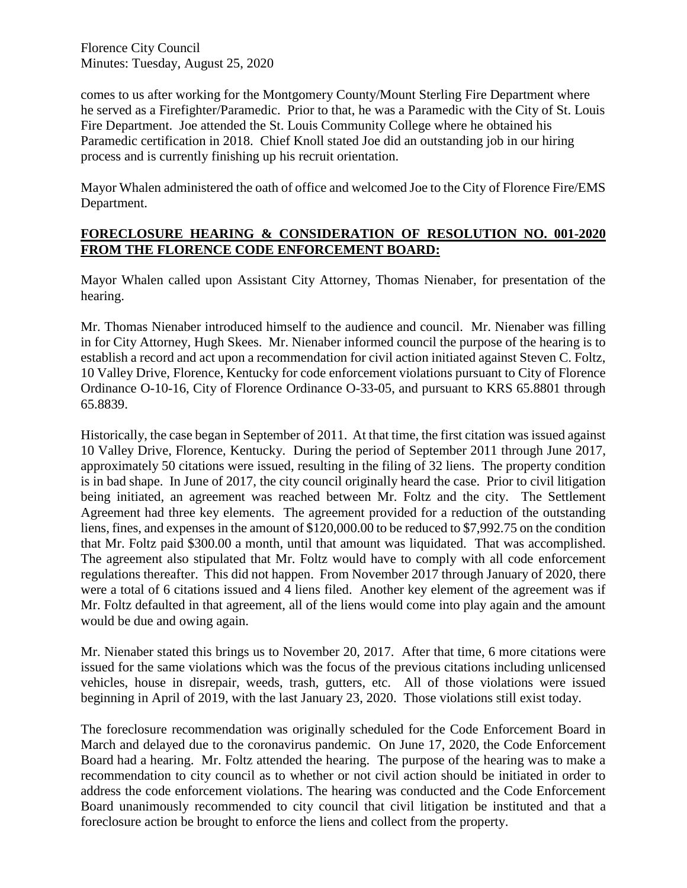comes to us after working for the Montgomery County/Mount Sterling Fire Department where he served as a Firefighter/Paramedic. Prior to that, he was a Paramedic with the City of St. Louis Fire Department. Joe attended the St. Louis Community College where he obtained his Paramedic certification in 2018. Chief Knoll stated Joe did an outstanding job in our hiring process and is currently finishing up his recruit orientation.

Mayor Whalen administered the oath of office and welcomed Joe to the City of Florence Fire/EMS Department.

#### **FORECLOSURE HEARING & CONSIDERATION OF RESOLUTION NO. 001-2020 FROM THE FLORENCE CODE ENFORCEMENT BOARD:**

Mayor Whalen called upon Assistant City Attorney, Thomas Nienaber, for presentation of the hearing.

Mr. Thomas Nienaber introduced himself to the audience and council. Mr. Nienaber was filling in for City Attorney, Hugh Skees. Mr. Nienaber informed council the purpose of the hearing is to establish a record and act upon a recommendation for civil action initiated against Steven C. Foltz, 10 Valley Drive, Florence, Kentucky for code enforcement violations pursuant to City of Florence Ordinance O-10-16, City of Florence Ordinance O-33-05, and pursuant to KRS 65.8801 through 65.8839.

Historically, the case began in September of 2011. At that time, the first citation was issued against 10 Valley Drive, Florence, Kentucky. During the period of September 2011 through June 2017, approximately 50 citations were issued, resulting in the filing of 32 liens. The property condition is in bad shape. In June of 2017, the city council originally heard the case. Prior to civil litigation being initiated, an agreement was reached between Mr. Foltz and the city. The Settlement Agreement had three key elements. The agreement provided for a reduction of the outstanding liens, fines, and expenses in the amount of \$120,000.00 to be reduced to \$7,992.75 on the condition that Mr. Foltz paid \$300.00 a month, until that amount was liquidated. That was accomplished. The agreement also stipulated that Mr. Foltz would have to comply with all code enforcement regulations thereafter. This did not happen. From November 2017 through January of 2020, there were a total of 6 citations issued and 4 liens filed. Another key element of the agreement was if Mr. Foltz defaulted in that agreement, all of the liens would come into play again and the amount would be due and owing again.

Mr. Nienaber stated this brings us to November 20, 2017. After that time, 6 more citations were issued for the same violations which was the focus of the previous citations including unlicensed vehicles, house in disrepair, weeds, trash, gutters, etc. All of those violations were issued beginning in April of 2019, with the last January 23, 2020. Those violations still exist today.

The foreclosure recommendation was originally scheduled for the Code Enforcement Board in March and delayed due to the coronavirus pandemic. On June 17, 2020, the Code Enforcement Board had a hearing. Mr. Foltz attended the hearing. The purpose of the hearing was to make a recommendation to city council as to whether or not civil action should be initiated in order to address the code enforcement violations. The hearing was conducted and the Code Enforcement Board unanimously recommended to city council that civil litigation be instituted and that a foreclosure action be brought to enforce the liens and collect from the property.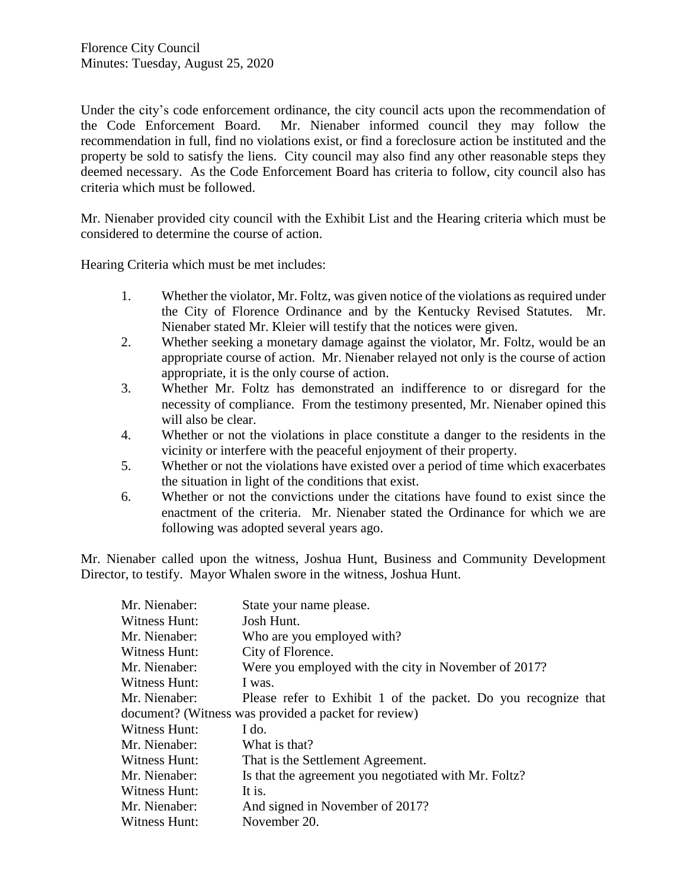Under the city's code enforcement ordinance, the city council acts upon the recommendation of the Code Enforcement Board. Mr. Nienaber informed council they may follow the recommendation in full, find no violations exist, or find a foreclosure action be instituted and the property be sold to satisfy the liens. City council may also find any other reasonable steps they deemed necessary. As the Code Enforcement Board has criteria to follow, city council also has criteria which must be followed.

Mr. Nienaber provided city council with the Exhibit List and the Hearing criteria which must be considered to determine the course of action.

Hearing Criteria which must be met includes:

- 1. Whether the violator, Mr. Foltz, was given notice of the violations as required under the City of Florence Ordinance and by the Kentucky Revised Statutes. Mr. Nienaber stated Mr. Kleier will testify that the notices were given.
- 2. Whether seeking a monetary damage against the violator, Mr. Foltz, would be an appropriate course of action. Mr. Nienaber relayed not only is the course of action appropriate, it is the only course of action.
- 3. Whether Mr. Foltz has demonstrated an indifference to or disregard for the necessity of compliance. From the testimony presented, Mr. Nienaber opined this will also be clear.
- 4. Whether or not the violations in place constitute a danger to the residents in the vicinity or interfere with the peaceful enjoyment of their property.
- 5. Whether or not the violations have existed over a period of time which exacerbates the situation in light of the conditions that exist.
- 6. Whether or not the convictions under the citations have found to exist since the enactment of the criteria. Mr. Nienaber stated the Ordinance for which we are following was adopted several years ago.

Mr. Nienaber called upon the witness, Joshua Hunt, Business and Community Development Director, to testify. Mayor Whalen swore in the witness, Joshua Hunt.

| State your name please.                                        |  |
|----------------------------------------------------------------|--|
| Josh Hunt.                                                     |  |
| Who are you employed with?                                     |  |
| City of Florence.                                              |  |
| Were you employed with the city in November of 2017?           |  |
| I was.                                                         |  |
| Please refer to Exhibit 1 of the packet. Do you recognize that |  |
| document? (Witness was provided a packet for review)           |  |
| I do.                                                          |  |
| What is that?                                                  |  |
| That is the Settlement Agreement.                              |  |
| Is that the agreement you negotiated with Mr. Foltz?           |  |
| It is.                                                         |  |
| And signed in November of 2017?                                |  |
| November 20.                                                   |  |
|                                                                |  |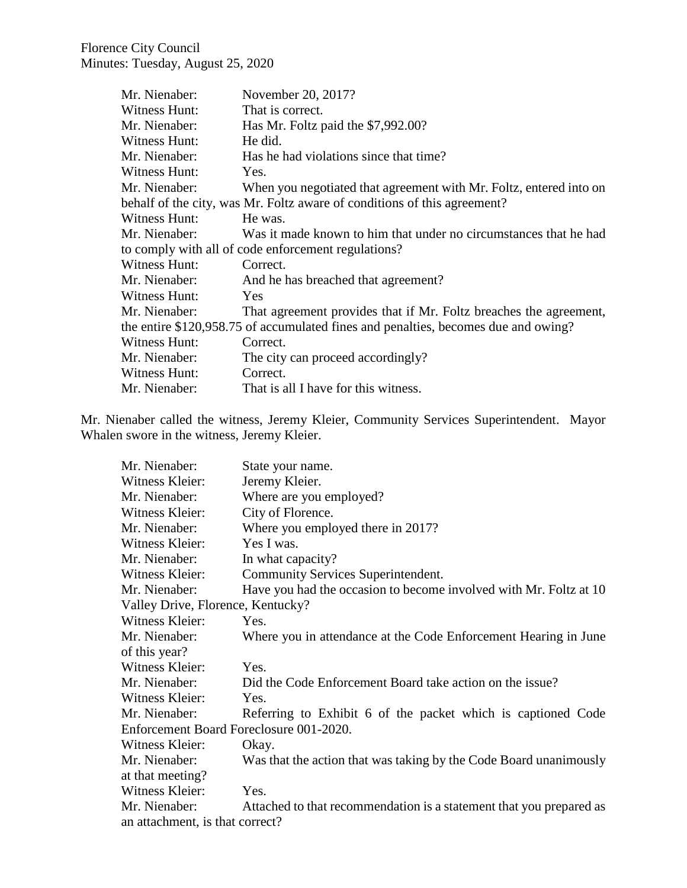| Mr. Nienaber: | November 20, 2017?                                                                 |
|---------------|------------------------------------------------------------------------------------|
| Witness Hunt: | That is correct.                                                                   |
| Mr. Nienaber: | Has Mr. Foltz paid the \$7,992.00?                                                 |
| Witness Hunt: | He did.                                                                            |
| Mr. Nienaber: | Has he had violations since that time?                                             |
| Witness Hunt: | Yes.                                                                               |
| Mr. Nienaber: | When you negotiated that agreement with Mr. Foltz, entered into on                 |
|               | behalf of the city, was Mr. Foltz aware of conditions of this agreement?           |
| Witness Hunt: | He was.                                                                            |
| Mr. Nienaber: | Was it made known to him that under no circumstances that he had                   |
|               | to comply with all of code enforcement regulations?                                |
| Witness Hunt: | Correct.                                                                           |
| Mr. Nienaber: | And he has breached that agreement?                                                |
| Witness Hunt: | <b>Yes</b>                                                                         |
| Mr. Nienaber: | That agreement provides that if Mr. Foltz breaches the agreement,                  |
|               | the entire \$120,958.75 of accumulated fines and penalties, becomes due and owing? |
| Witness Hunt: | Correct.                                                                           |
| Mr. Nienaber: | The city can proceed accordingly?                                                  |
| Witness Hunt: | Correct.                                                                           |
| Mr. Nienaber: | That is all I have for this witness.                                               |

Mr. Nienaber called the witness, Jeremy Kleier, Community Services Superintendent. Mayor Whalen swore in the witness, Jeremy Kleier.

| Mr. Nienaber:                           | State your name.                                                    |  |
|-----------------------------------------|---------------------------------------------------------------------|--|
| Witness Kleier:                         | Jeremy Kleier.                                                      |  |
| Mr. Nienaber:                           | Where are you employed?                                             |  |
| Witness Kleier:                         | City of Florence.                                                   |  |
| Mr. Nienaber:                           | Where you employed there in 2017?                                   |  |
| Witness Kleier:                         | Yes I was.                                                          |  |
| Mr. Nienaber:                           | In what capacity?                                                   |  |
| Witness Kleier:                         | Community Services Superintendent.                                  |  |
| Mr. Nienaber:                           | Have you had the occasion to become involved with Mr. Foltz at 10   |  |
| Valley Drive, Florence, Kentucky?       |                                                                     |  |
| Witness Kleier:                         | Yes.                                                                |  |
| Mr. Nienaber:                           | Where you in attendance at the Code Enforcement Hearing in June     |  |
| of this year?                           |                                                                     |  |
| Witness Kleier:                         | Yes.                                                                |  |
| Mr. Nienaber:                           | Did the Code Enforcement Board take action on the issue?            |  |
| Witness Kleier:                         | Yes.                                                                |  |
| Mr. Nienaber:                           | Referring to Exhibit 6 of the packet which is captioned Code        |  |
| Enforcement Board Foreclosure 001-2020. |                                                                     |  |
| Witness Kleier:                         | Okay.                                                               |  |
| Mr. Nienaber:                           | Was that the action that was taking by the Code Board unanimously   |  |
| at that meeting?                        |                                                                     |  |
| Witness Kleier:                         | Yes.                                                                |  |
| Mr. Nienaber:                           | Attached to that recommendation is a statement that you prepared as |  |
| an attachment, is that correct?         |                                                                     |  |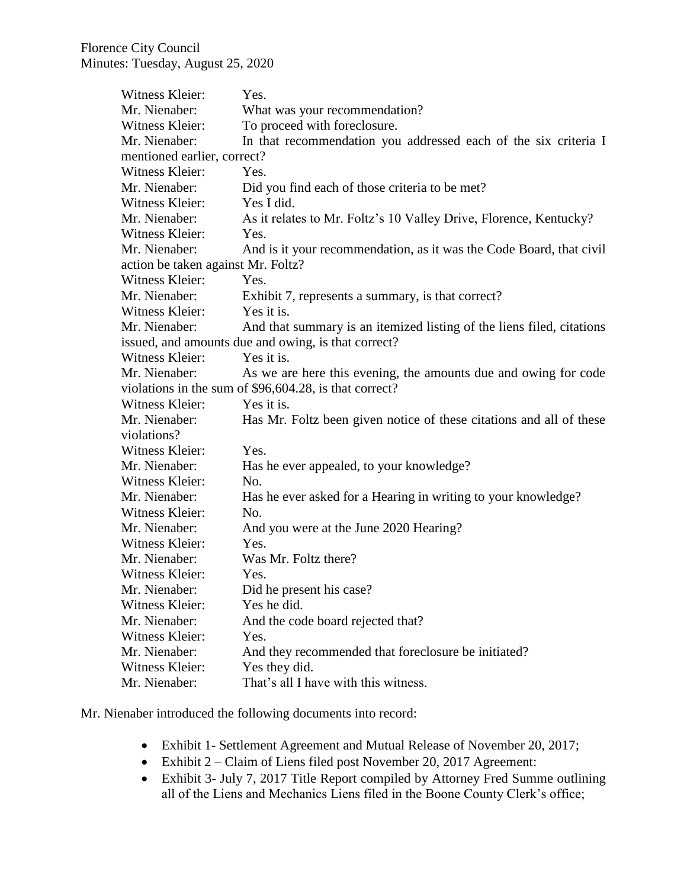| Witness Kleier:                    | Yes.                                                                  |
|------------------------------------|-----------------------------------------------------------------------|
| Mr. Nienaber:                      | What was your recommendation?                                         |
| Witness Kleier:                    | To proceed with foreclosure.                                          |
| Mr. Nienaber:                      | In that recommendation you addressed each of the six criteria I       |
| mentioned earlier, correct?        |                                                                       |
| Witness Kleier:                    | Yes.                                                                  |
| Mr. Nienaber:                      | Did you find each of those criteria to be met?                        |
| Witness Kleier:                    | Yes I did.                                                            |
| Mr. Nienaber:                      | As it relates to Mr. Foltz's 10 Valley Drive, Florence, Kentucky?     |
| Witness Kleier:                    | Yes.                                                                  |
| Mr. Nienaber:                      | And is it your recommendation, as it was the Code Board, that civil   |
| action be taken against Mr. Foltz? |                                                                       |
| Witness Kleier:                    | Yes.                                                                  |
| Mr. Nienaber:                      | Exhibit 7, represents a summary, is that correct?                     |
| Witness Kleier:                    | Yes it is.                                                            |
| Mr. Nienaber:                      | And that summary is an itemized listing of the liens filed, citations |
|                                    | issued, and amounts due and owing, is that correct?                   |
| Witness Kleier:                    | Yes it is.                                                            |
| Mr. Nienaber:                      | As we are here this evening, the amounts due and owing for code       |
|                                    | violations in the sum of \$96,604.28, is that correct?                |
| Witness Kleier:                    | Yes it is.                                                            |
| Mr. Nienaber:                      | Has Mr. Foltz been given notice of these citations and all of these   |
| violations?                        |                                                                       |
| Witness Kleier:                    | Yes.                                                                  |
| Mr. Nienaber:                      | Has he ever appealed, to your knowledge?                              |
| Witness Kleier:                    | No.                                                                   |
| Mr. Nienaber:                      | Has he ever asked for a Hearing in writing to your knowledge?         |
| Witness Kleier:                    | No.                                                                   |
| Mr. Nienaber:                      | And you were at the June 2020 Hearing?                                |
| Witness Kleier:                    | Yes.                                                                  |
| Mr. Nienaber:                      | Was Mr. Foltz there?                                                  |
| Witness Kleier:                    | Yes.                                                                  |
| Mr. Nienaber:                      | Did he present his case?                                              |
| Witness Kleier:                    | Yes he did.                                                           |
| Mr. Nienaber:                      | And the code board rejected that?                                     |
| Witness Kleier:                    | Yes.                                                                  |
| Mr. Nienaber:                      | And they recommended that foreclosure be initiated?                   |
| Witness Kleier:                    | Yes they did.                                                         |
| Mr. Nienaber:                      | That's all I have with this witness.                                  |

Mr. Nienaber introduced the following documents into record:

- Exhibit 1- Settlement Agreement and Mutual Release of November 20, 2017;
- Exhibit 2 Claim of Liens filed post November 20, 2017 Agreement:
- Exhibit 3- July 7, 2017 Title Report compiled by Attorney Fred Summe outlining all of the Liens and Mechanics Liens filed in the Boone County Clerk's office;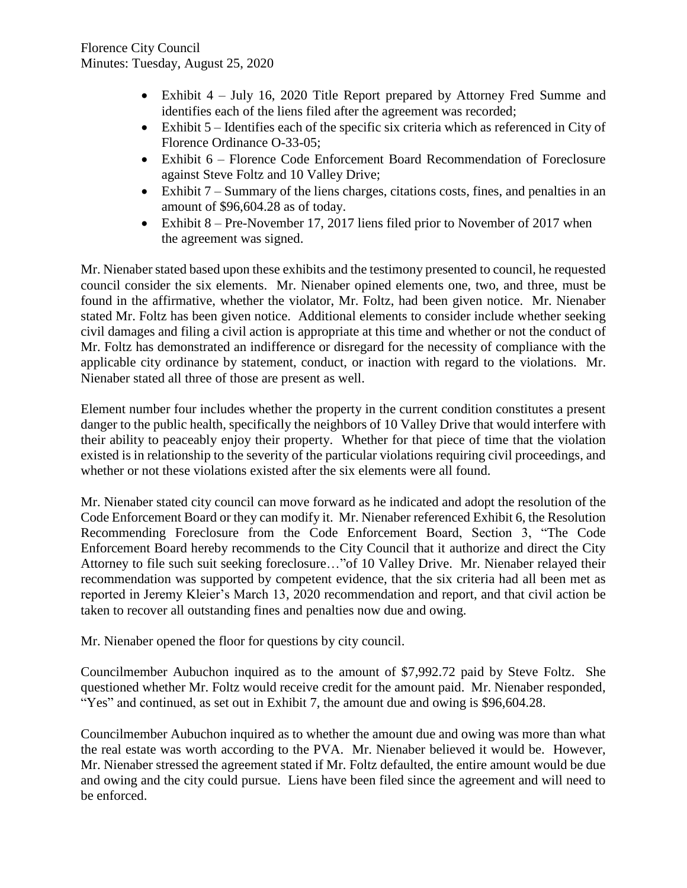- Exhibit 4 July 16, 2020 Title Report prepared by Attorney Fred Summe and identifies each of the liens filed after the agreement was recorded;
- Exhibit  $5$  Identifies each of the specific six criteria which as referenced in City of Florence Ordinance O-33-05;
- Exhibit 6 Florence Code Enforcement Board Recommendation of Foreclosure against Steve Foltz and 10 Valley Drive;
- Exhibit  $7 -$  Summary of the liens charges, citations costs, fines, and penalties in an amount of \$96,604.28 as of today.
- Exhibit 8 Pre-November 17, 2017 liens filed prior to November of 2017 when the agreement was signed.

Mr. Nienaber stated based upon these exhibits and the testimony presented to council, he requested council consider the six elements. Mr. Nienaber opined elements one, two, and three, must be found in the affirmative, whether the violator, Mr. Foltz, had been given notice. Mr. Nienaber stated Mr. Foltz has been given notice. Additional elements to consider include whether seeking civil damages and filing a civil action is appropriate at this time and whether or not the conduct of Mr. Foltz has demonstrated an indifference or disregard for the necessity of compliance with the applicable city ordinance by statement, conduct, or inaction with regard to the violations. Mr. Nienaber stated all three of those are present as well.

Element number four includes whether the property in the current condition constitutes a present danger to the public health, specifically the neighbors of 10 Valley Drive that would interfere with their ability to peaceably enjoy their property. Whether for that piece of time that the violation existed is in relationship to the severity of the particular violations requiring civil proceedings, and whether or not these violations existed after the six elements were all found.

Mr. Nienaber stated city council can move forward as he indicated and adopt the resolution of the Code Enforcement Board or they can modify it. Mr. Nienaber referenced Exhibit 6, the Resolution Recommending Foreclosure from the Code Enforcement Board, Section 3, "The Code Enforcement Board hereby recommends to the City Council that it authorize and direct the City Attorney to file such suit seeking foreclosure…"of 10 Valley Drive. Mr. Nienaber relayed their recommendation was supported by competent evidence, that the six criteria had all been met as reported in Jeremy Kleier's March 13, 2020 recommendation and report, and that civil action be taken to recover all outstanding fines and penalties now due and owing.

Mr. Nienaber opened the floor for questions by city council.

Councilmember Aubuchon inquired as to the amount of \$7,992.72 paid by Steve Foltz. She questioned whether Mr. Foltz would receive credit for the amount paid. Mr. Nienaber responded, "Yes" and continued, as set out in Exhibit 7, the amount due and owing is \$96,604.28.

Councilmember Aubuchon inquired as to whether the amount due and owing was more than what the real estate was worth according to the PVA. Mr. Nienaber believed it would be. However, Mr. Nienaber stressed the agreement stated if Mr. Foltz defaulted, the entire amount would be due and owing and the city could pursue. Liens have been filed since the agreement and will need to be enforced.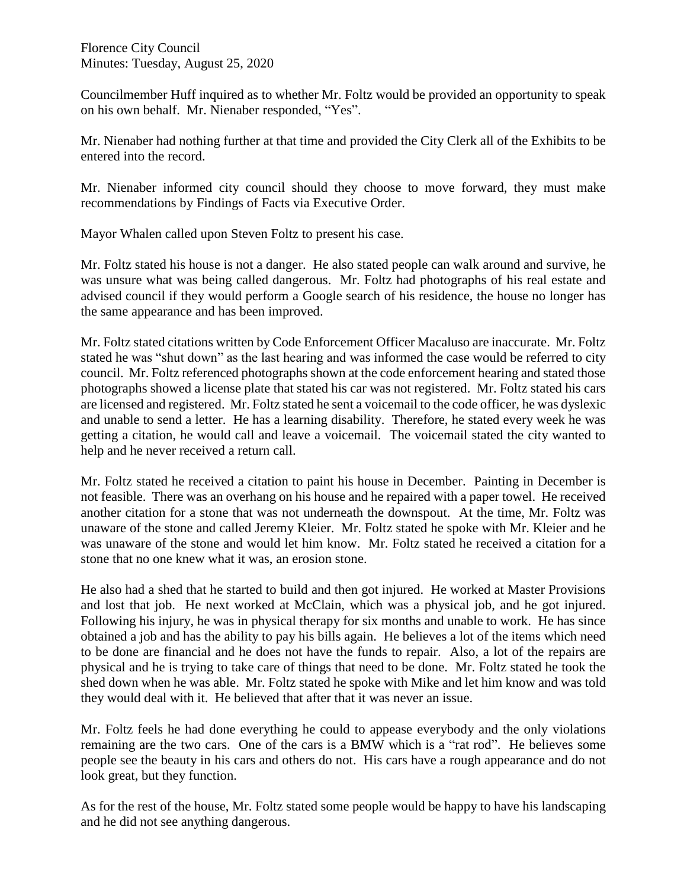Councilmember Huff inquired as to whether Mr. Foltz would be provided an opportunity to speak on his own behalf. Mr. Nienaber responded, "Yes".

Mr. Nienaber had nothing further at that time and provided the City Clerk all of the Exhibits to be entered into the record.

Mr. Nienaber informed city council should they choose to move forward, they must make recommendations by Findings of Facts via Executive Order.

Mayor Whalen called upon Steven Foltz to present his case.

Mr. Foltz stated his house is not a danger. He also stated people can walk around and survive, he was unsure what was being called dangerous. Mr. Foltz had photographs of his real estate and advised council if they would perform a Google search of his residence, the house no longer has the same appearance and has been improved.

Mr. Foltz stated citations written by Code Enforcement Officer Macaluso are inaccurate. Mr. Foltz stated he was "shut down" as the last hearing and was informed the case would be referred to city council. Mr. Foltz referenced photographs shown at the code enforcement hearing and stated those photographs showed a license plate that stated his car was not registered. Mr. Foltz stated his cars are licensed and registered. Mr. Foltz stated he sent a voicemail to the code officer, he was dyslexic and unable to send a letter. He has a learning disability. Therefore, he stated every week he was getting a citation, he would call and leave a voicemail. The voicemail stated the city wanted to help and he never received a return call.

Mr. Foltz stated he received a citation to paint his house in December. Painting in December is not feasible. There was an overhang on his house and he repaired with a paper towel. He received another citation for a stone that was not underneath the downspout. At the time, Mr. Foltz was unaware of the stone and called Jeremy Kleier. Mr. Foltz stated he spoke with Mr. Kleier and he was unaware of the stone and would let him know. Mr. Foltz stated he received a citation for a stone that no one knew what it was, an erosion stone.

He also had a shed that he started to build and then got injured. He worked at Master Provisions and lost that job. He next worked at McClain, which was a physical job, and he got injured. Following his injury, he was in physical therapy for six months and unable to work. He has since obtained a job and has the ability to pay his bills again. He believes a lot of the items which need to be done are financial and he does not have the funds to repair. Also, a lot of the repairs are physical and he is trying to take care of things that need to be done. Mr. Foltz stated he took the shed down when he was able. Mr. Foltz stated he spoke with Mike and let him know and was told they would deal with it. He believed that after that it was never an issue.

Mr. Foltz feels he had done everything he could to appease everybody and the only violations remaining are the two cars. One of the cars is a BMW which is a "rat rod". He believes some people see the beauty in his cars and others do not. His cars have a rough appearance and do not look great, but they function.

As for the rest of the house, Mr. Foltz stated some people would be happy to have his landscaping and he did not see anything dangerous.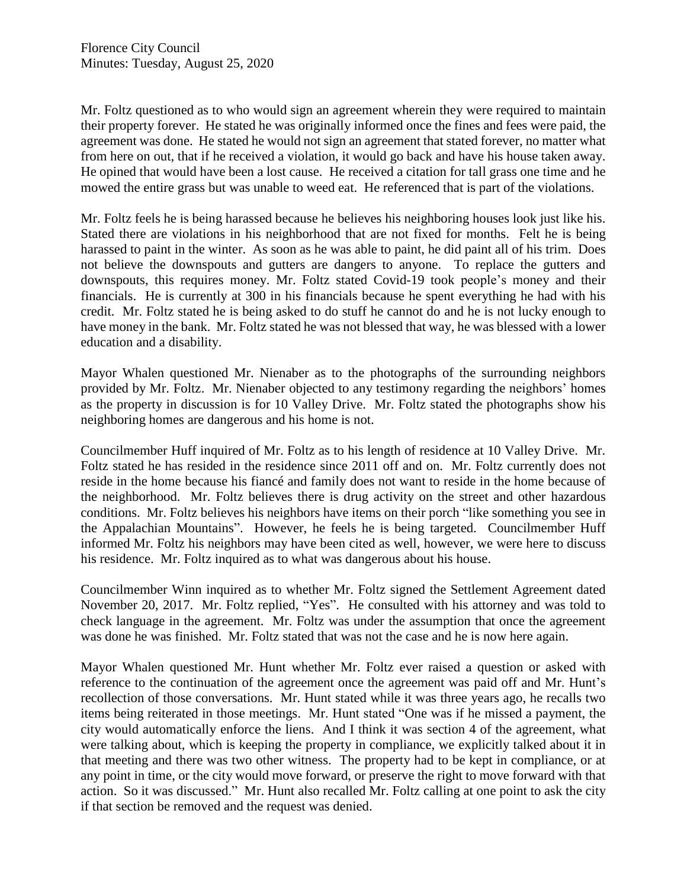Mr. Foltz questioned as to who would sign an agreement wherein they were required to maintain their property forever. He stated he was originally informed once the fines and fees were paid, the agreement was done. He stated he would not sign an agreement that stated forever, no matter what from here on out, that if he received a violation, it would go back and have his house taken away. He opined that would have been a lost cause. He received a citation for tall grass one time and he mowed the entire grass but was unable to weed eat. He referenced that is part of the violations.

Mr. Foltz feels he is being harassed because he believes his neighboring houses look just like his. Stated there are violations in his neighborhood that are not fixed for months. Felt he is being harassed to paint in the winter. As soon as he was able to paint, he did paint all of his trim. Does not believe the downspouts and gutters are dangers to anyone. To replace the gutters and downspouts, this requires money. Mr. Foltz stated Covid-19 took people's money and their financials. He is currently at 300 in his financials because he spent everything he had with his credit. Mr. Foltz stated he is being asked to do stuff he cannot do and he is not lucky enough to have money in the bank. Mr. Foltz stated he was not blessed that way, he was blessed with a lower education and a disability.

Mayor Whalen questioned Mr. Nienaber as to the photographs of the surrounding neighbors provided by Mr. Foltz. Mr. Nienaber objected to any testimony regarding the neighbors' homes as the property in discussion is for 10 Valley Drive. Mr. Foltz stated the photographs show his neighboring homes are dangerous and his home is not.

Councilmember Huff inquired of Mr. Foltz as to his length of residence at 10 Valley Drive. Mr. Foltz stated he has resided in the residence since 2011 off and on. Mr. Foltz currently does not reside in the home because his fiancé and family does not want to reside in the home because of the neighborhood. Mr. Foltz believes there is drug activity on the street and other hazardous conditions. Mr. Foltz believes his neighbors have items on their porch "like something you see in the Appalachian Mountains". However, he feels he is being targeted. Councilmember Huff informed Mr. Foltz his neighbors may have been cited as well, however, we were here to discuss his residence. Mr. Foltz inquired as to what was dangerous about his house.

Councilmember Winn inquired as to whether Mr. Foltz signed the Settlement Agreement dated November 20, 2017. Mr. Foltz replied, "Yes". He consulted with his attorney and was told to check language in the agreement. Mr. Foltz was under the assumption that once the agreement was done he was finished. Mr. Foltz stated that was not the case and he is now here again.

Mayor Whalen questioned Mr. Hunt whether Mr. Foltz ever raised a question or asked with reference to the continuation of the agreement once the agreement was paid off and Mr. Hunt's recollection of those conversations. Mr. Hunt stated while it was three years ago, he recalls two items being reiterated in those meetings. Mr. Hunt stated "One was if he missed a payment, the city would automatically enforce the liens. And I think it was section 4 of the agreement, what were talking about, which is keeping the property in compliance, we explicitly talked about it in that meeting and there was two other witness. The property had to be kept in compliance, or at any point in time, or the city would move forward, or preserve the right to move forward with that action. So it was discussed." Mr. Hunt also recalled Mr. Foltz calling at one point to ask the city if that section be removed and the request was denied.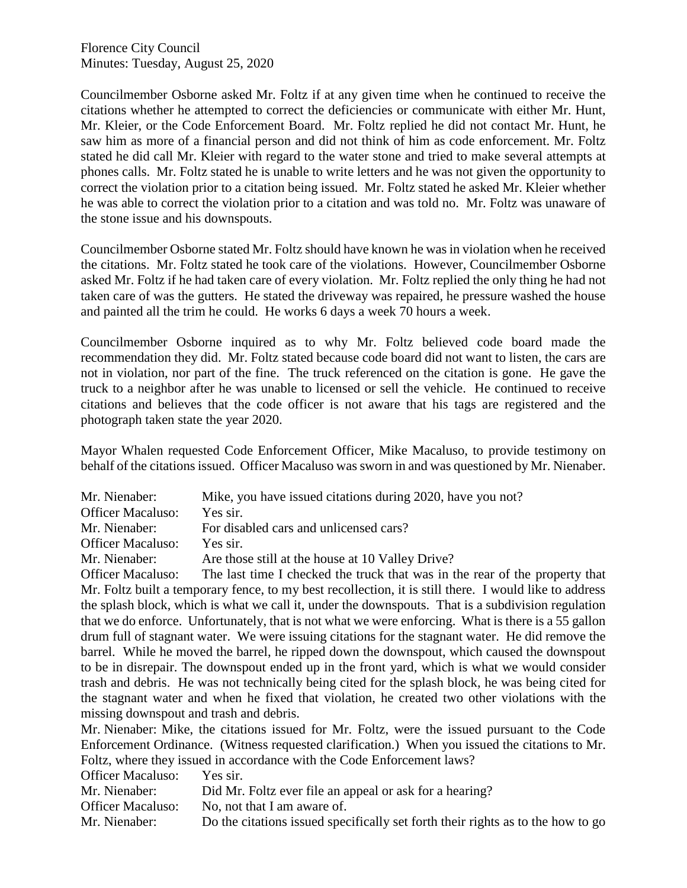Councilmember Osborne asked Mr. Foltz if at any given time when he continued to receive the citations whether he attempted to correct the deficiencies or communicate with either Mr. Hunt, Mr. Kleier, or the Code Enforcement Board. Mr. Foltz replied he did not contact Mr. Hunt, he saw him as more of a financial person and did not think of him as code enforcement. Mr. Foltz stated he did call Mr. Kleier with regard to the water stone and tried to make several attempts at phones calls. Mr. Foltz stated he is unable to write letters and he was not given the opportunity to correct the violation prior to a citation being issued. Mr. Foltz stated he asked Mr. Kleier whether he was able to correct the violation prior to a citation and was told no. Mr. Foltz was unaware of the stone issue and his downspouts.

Councilmember Osborne stated Mr. Foltz should have known he was in violation when he received the citations. Mr. Foltz stated he took care of the violations. However, Councilmember Osborne asked Mr. Foltz if he had taken care of every violation. Mr. Foltz replied the only thing he had not taken care of was the gutters. He stated the driveway was repaired, he pressure washed the house and painted all the trim he could. He works 6 days a week 70 hours a week.

Councilmember Osborne inquired as to why Mr. Foltz believed code board made the recommendation they did. Mr. Foltz stated because code board did not want to listen, the cars are not in violation, nor part of the fine. The truck referenced on the citation is gone. He gave the truck to a neighbor after he was unable to licensed or sell the vehicle. He continued to receive citations and believes that the code officer is not aware that his tags are registered and the photograph taken state the year 2020.

Mayor Whalen requested Code Enforcement Officer, Mike Macaluso, to provide testimony on behalf of the citations issued. Officer Macaluso was sworn in and was questioned by Mr. Nienaber.

| Mr. Nienaber:            | Mike, you have issued citations during 2020, have you not?    |
|--------------------------|---------------------------------------------------------------|
| <b>Officer Macaluso:</b> | Yes sir.                                                      |
| Mr. Nienaber:            | For disabled cars and unlicensed cars?                        |
| <b>Officer Macaluso:</b> | Yes sir.                                                      |
| Mr. Nienaber:            | Are those still at the house at 10 Valley Drive?              |
| $\bigcap_{i=1}^n A_i$    | The lest time I shooled the tweek that wes in the room of the |

Officer Macaluso: The last time I checked the truck that was in the rear of the property that Mr. Foltz built a temporary fence, to my best recollection, it is still there. I would like to address the splash block, which is what we call it, under the downspouts. That is a subdivision regulation that we do enforce. Unfortunately, that is not what we were enforcing. What is there is a 55 gallon drum full of stagnant water. We were issuing citations for the stagnant water. He did remove the barrel. While he moved the barrel, he ripped down the downspout, which caused the downspout to be in disrepair. The downspout ended up in the front yard, which is what we would consider trash and debris. He was not technically being cited for the splash block, he was being cited for the stagnant water and when he fixed that violation, he created two other violations with the missing downspout and trash and debris.

Mr. Nienaber: Mike, the citations issued for Mr. Foltz, were the issued pursuant to the Code Enforcement Ordinance. (Witness requested clarification.) When you issued the citations to Mr. Foltz, where they issued in accordance with the Code Enforcement laws?

| <b>Officer Macaluso:</b> | Yes sir.                                                                        |
|--------------------------|---------------------------------------------------------------------------------|
| Mr. Nienaber:            | Did Mr. Foltz ever file an appeal or ask for a hearing?                         |
| <b>Officer Macaluso:</b> | No, not that I am aware of.                                                     |
| Mr. Nienaber:            | Do the citations issued specifically set forth their rights as to the how to go |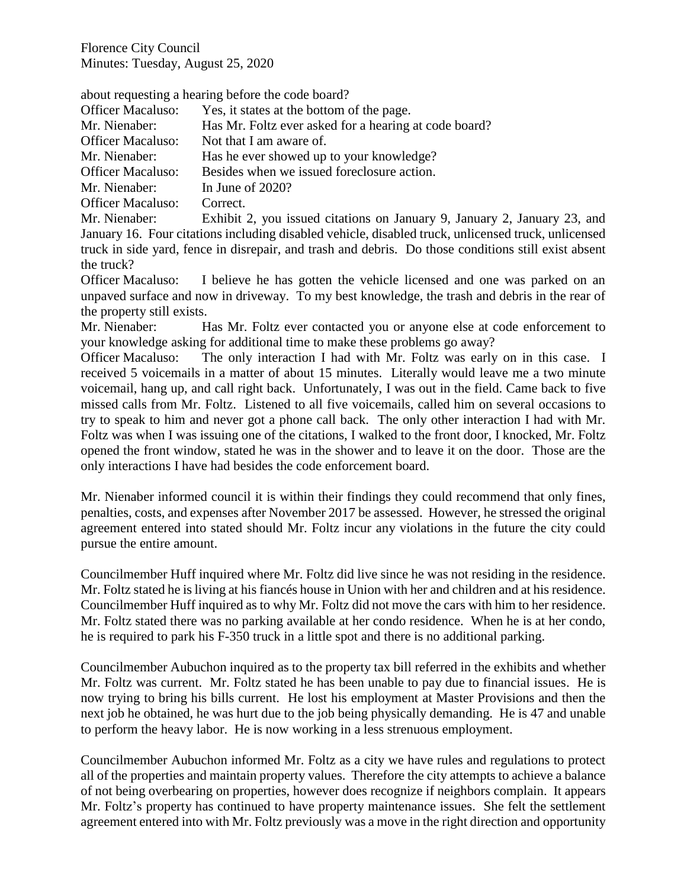about requesting a hearing before the code board?

| <b>Officer Macaluso:</b>     | Yes, it states at the bottom of the page.                               |
|------------------------------|-------------------------------------------------------------------------|
| Mr. Nienaber:                | Has Mr. Foltz ever asked for a hearing at code board?                   |
| <b>Officer Macaluso:</b>     | Not that I am aware of.                                                 |
| Mr. Nienaber:                | Has he ever showed up to your knowledge?                                |
| <b>Officer Macaluso:</b>     | Besides when we issued foreclosure action.                              |
| Mr. Nienaber:                | In June of $2020$ ?                                                     |
| <b>Officer Macaluso:</b>     | Correct.                                                                |
| $M_{\odot}$ M <sup>t</sup> 1 | $E=1.31, 0, \ldots$ and $1.31, 1.1$ and $1.1, \ldots$ and $0.1, \ldots$ |

Mr. Nienaber: Exhibit 2, you issued citations on January 9, January 2, January 23, and January 16. Four citations including disabled vehicle, disabled truck, unlicensed truck, unlicensed truck in side yard, fence in disrepair, and trash and debris. Do those conditions still exist absent the truck?

Officer Macaluso: I believe he has gotten the vehicle licensed and one was parked on an unpaved surface and now in driveway. To my best knowledge, the trash and debris in the rear of the property still exists.

Mr. Nienaber: Has Mr. Foltz ever contacted you or anyone else at code enforcement to your knowledge asking for additional time to make these problems go away?

Officer Macaluso: The only interaction I had with Mr. Foltz was early on in this case. I received 5 voicemails in a matter of about 15 minutes. Literally would leave me a two minute voicemail, hang up, and call right back. Unfortunately, I was out in the field. Came back to five missed calls from Mr. Foltz. Listened to all five voicemails, called him on several occasions to try to speak to him and never got a phone call back. The only other interaction I had with Mr. Foltz was when I was issuing one of the citations, I walked to the front door, I knocked, Mr. Foltz opened the front window, stated he was in the shower and to leave it on the door. Those are the only interactions I have had besides the code enforcement board.

Mr. Nienaber informed council it is within their findings they could recommend that only fines, penalties, costs, and expenses after November 2017 be assessed. However, he stressed the original agreement entered into stated should Mr. Foltz incur any violations in the future the city could pursue the entire amount.

Councilmember Huff inquired where Mr. Foltz did live since he was not residing in the residence. Mr. Foltz stated he is living at his fiancés house in Union with her and children and at his residence. Councilmember Huff inquired as to why Mr. Foltz did not move the cars with him to her residence. Mr. Foltz stated there was no parking available at her condo residence. When he is at her condo, he is required to park his F-350 truck in a little spot and there is no additional parking.

Councilmember Aubuchon inquired as to the property tax bill referred in the exhibits and whether Mr. Foltz was current. Mr. Foltz stated he has been unable to pay due to financial issues. He is now trying to bring his bills current. He lost his employment at Master Provisions and then the next job he obtained, he was hurt due to the job being physically demanding. He is 47 and unable to perform the heavy labor. He is now working in a less strenuous employment.

Councilmember Aubuchon informed Mr. Foltz as a city we have rules and regulations to protect all of the properties and maintain property values. Therefore the city attempts to achieve a balance of not being overbearing on properties, however does recognize if neighbors complain. It appears Mr. Foltz's property has continued to have property maintenance issues. She felt the settlement agreement entered into with Mr. Foltz previously was a move in the right direction and opportunity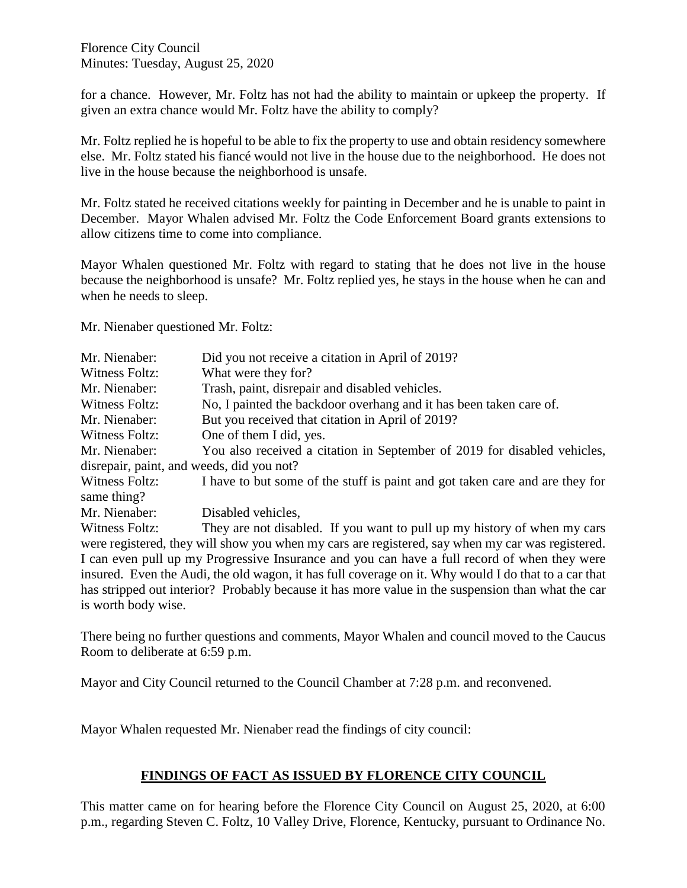for a chance. However, Mr. Foltz has not had the ability to maintain or upkeep the property. If given an extra chance would Mr. Foltz have the ability to comply?

Mr. Foltz replied he is hopeful to be able to fix the property to use and obtain residency somewhere else. Mr. Foltz stated his fiancé would not live in the house due to the neighborhood. He does not live in the house because the neighborhood is unsafe.

Mr. Foltz stated he received citations weekly for painting in December and he is unable to paint in December. Mayor Whalen advised Mr. Foltz the Code Enforcement Board grants extensions to allow citizens time to come into compliance.

Mayor Whalen questioned Mr. Foltz with regard to stating that he does not live in the house because the neighborhood is unsafe? Mr. Foltz replied yes, he stays in the house when he can and when he needs to sleep.

Mr. Nienaber questioned Mr. Foltz:

| Mr. Nienaber:                                                                                        | Did you not receive a citation in April of 2019?                             |  |
|------------------------------------------------------------------------------------------------------|------------------------------------------------------------------------------|--|
| Witness Foltz:                                                                                       | What were they for?                                                          |  |
| Mr. Nienaber:                                                                                        | Trash, paint, disrepair and disabled vehicles.                               |  |
| Witness Foltz:                                                                                       | No, I painted the backdoor overhang and it has been taken care of.           |  |
| Mr. Nienaber:                                                                                        | But you received that citation in April of 2019?                             |  |
| Witness Foltz:                                                                                       | One of them I did, yes.                                                      |  |
| Mr. Nienaber:                                                                                        | You also received a citation in September of 2019 for disabled vehicles,     |  |
| disrepair, paint, and weeds, did you not?                                                            |                                                                              |  |
| Witness Foltz:                                                                                       | I have to but some of the stuff is paint and got taken care and are they for |  |
| same thing?                                                                                          |                                                                              |  |
| Mr. Nienaber:                                                                                        | Disabled vehicles,                                                           |  |
| Witness Foltz:                                                                                       | They are not disabled. If you want to pull up my history of when my cars     |  |
| were registered, they will show you when my cars are registered, say when my car was registered.     |                                                                              |  |
| I can even pull up my Progressive Insurance and you can have a full record of when they were         |                                                                              |  |
| insured. Even the Audi, the old wagon, it has full coverage on it. Why would I do that to a car that |                                                                              |  |
| has stripped out interior? Probably because it has more value in the suspension than what the car    |                                                                              |  |
| is worth body wise.                                                                                  |                                                                              |  |

There being no further questions and comments, Mayor Whalen and council moved to the Caucus Room to deliberate at 6:59 p.m.

Mayor and City Council returned to the Council Chamber at 7:28 p.m. and reconvened.

Mayor Whalen requested Mr. Nienaber read the findings of city council:

### **FINDINGS OF FACT AS ISSUED BY FLORENCE CITY COUNCIL**

This matter came on for hearing before the Florence City Council on August 25, 2020, at 6:00 p.m., regarding Steven C. Foltz, 10 Valley Drive, Florence, Kentucky, pursuant to Ordinance No.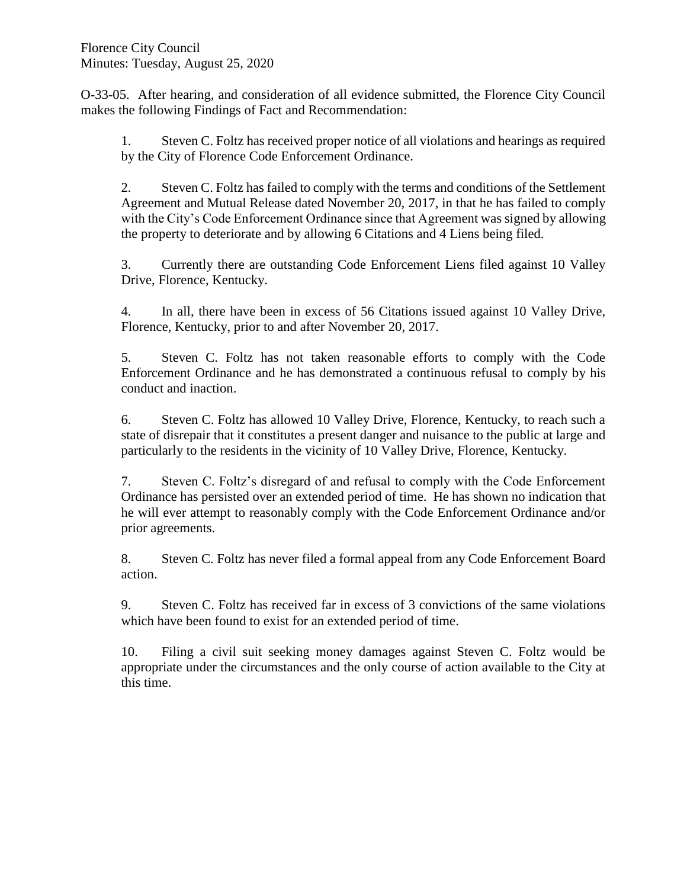O-33-05. After hearing, and consideration of all evidence submitted, the Florence City Council makes the following Findings of Fact and Recommendation:

1. Steven C. Foltz has received proper notice of all violations and hearings as required by the City of Florence Code Enforcement Ordinance.

2. Steven C. Foltz has failed to comply with the terms and conditions of the Settlement Agreement and Mutual Release dated November 20, 2017, in that he has failed to comply with the City's Code Enforcement Ordinance since that Agreement was signed by allowing the property to deteriorate and by allowing 6 Citations and 4 Liens being filed.

3. Currently there are outstanding Code Enforcement Liens filed against 10 Valley Drive, Florence, Kentucky.

4. In all, there have been in excess of 56 Citations issued against 10 Valley Drive, Florence, Kentucky, prior to and after November 20, 2017.

5. Steven C. Foltz has not taken reasonable efforts to comply with the Code Enforcement Ordinance and he has demonstrated a continuous refusal to comply by his conduct and inaction.

6. Steven C. Foltz has allowed 10 Valley Drive, Florence, Kentucky, to reach such a state of disrepair that it constitutes a present danger and nuisance to the public at large and particularly to the residents in the vicinity of 10 Valley Drive, Florence, Kentucky.

7. Steven C. Foltz's disregard of and refusal to comply with the Code Enforcement Ordinance has persisted over an extended period of time. He has shown no indication that he will ever attempt to reasonably comply with the Code Enforcement Ordinance and/or prior agreements.

8. Steven C. Foltz has never filed a formal appeal from any Code Enforcement Board action.

9. Steven C. Foltz has received far in excess of 3 convictions of the same violations which have been found to exist for an extended period of time.

10. Filing a civil suit seeking money damages against Steven C. Foltz would be appropriate under the circumstances and the only course of action available to the City at this time.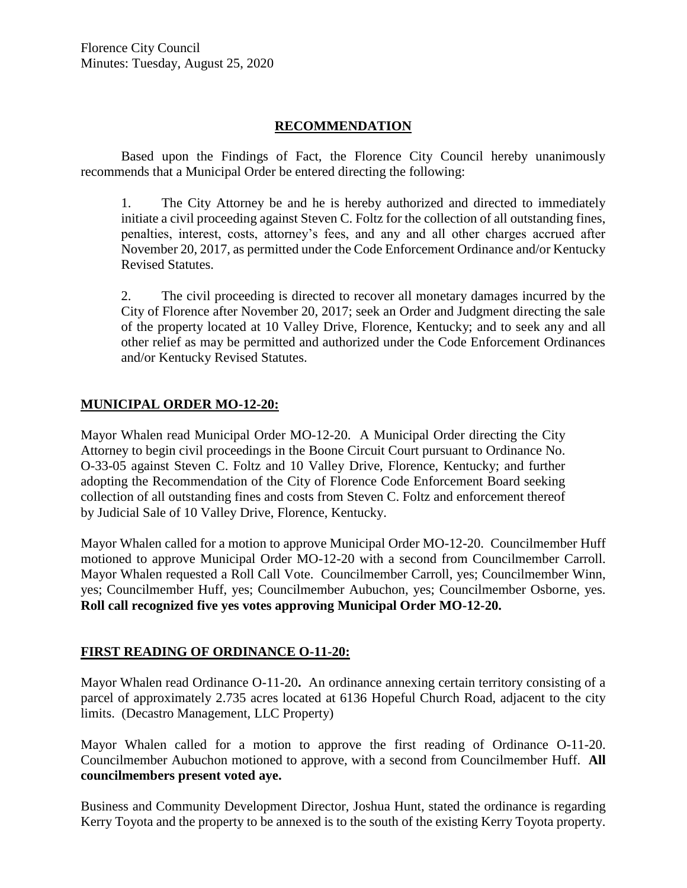#### **RECOMMENDATION**

Based upon the Findings of Fact, the Florence City Council hereby unanimously recommends that a Municipal Order be entered directing the following:

1. The City Attorney be and he is hereby authorized and directed to immediately initiate a civil proceeding against Steven C. Foltz for the collection of all outstanding fines, penalties, interest, costs, attorney's fees, and any and all other charges accrued after November 20, 2017, as permitted under the Code Enforcement Ordinance and/or Kentucky Revised Statutes.

2. The civil proceeding is directed to recover all monetary damages incurred by the City of Florence after November 20, 2017; seek an Order and Judgment directing the sale of the property located at 10 Valley Drive, Florence, Kentucky; and to seek any and all other relief as may be permitted and authorized under the Code Enforcement Ordinances and/or Kentucky Revised Statutes.

#### **MUNICIPAL ORDER MO-12-20:**

Mayor Whalen read Municipal Order MO-12-20. A Municipal Order directing the City Attorney to begin civil proceedings in the Boone Circuit Court pursuant to Ordinance No. O-33-05 against Steven C. Foltz and 10 Valley Drive, Florence, Kentucky; and further adopting the Recommendation of the City of Florence Code Enforcement Board seeking collection of all outstanding fines and costs from Steven C. Foltz and enforcement thereof by Judicial Sale of 10 Valley Drive, Florence, Kentucky.

Mayor Whalen called for a motion to approve Municipal Order MO-12-20. Councilmember Huff motioned to approve Municipal Order MO-12-20 with a second from Councilmember Carroll. Mayor Whalen requested a Roll Call Vote. Councilmember Carroll, yes; Councilmember Winn, yes; Councilmember Huff, yes; Councilmember Aubuchon, yes; Councilmember Osborne, yes. **Roll call recognized five yes votes approving Municipal Order MO-12-20.** 

### **FIRST READING OF ORDINANCE O-11-20:**

Mayor Whalen read Ordinance O-11-20**.** An ordinance annexing certain territory consisting of a parcel of approximately 2.735 acres located at 6136 Hopeful Church Road, adjacent to the city limits. (Decastro Management, LLC Property)

Mayor Whalen called for a motion to approve the first reading of Ordinance O-11-20. Councilmember Aubuchon motioned to approve, with a second from Councilmember Huff. **All councilmembers present voted aye.** 

Business and Community Development Director, Joshua Hunt, stated the ordinance is regarding Kerry Toyota and the property to be annexed is to the south of the existing Kerry Toyota property.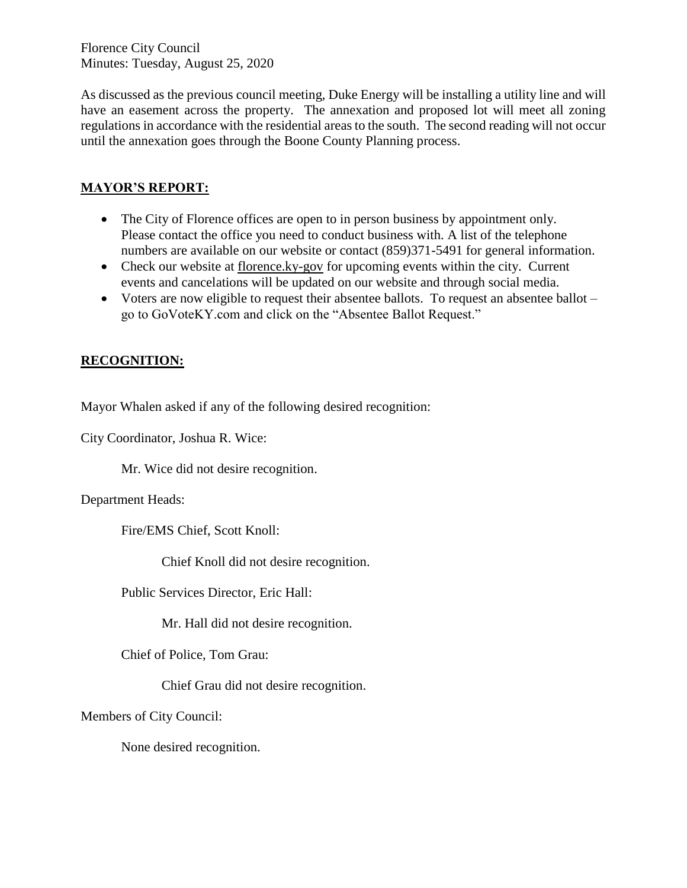As discussed as the previous council meeting, Duke Energy will be installing a utility line and will have an easement across the property. The annexation and proposed lot will meet all zoning regulations in accordance with the residential areas to the south. The second reading will not occur until the annexation goes through the Boone County Planning process.

## **MAYOR'S REPORT:**

- The City of Florence offices are open to in person business by appointment only. Please contact the office you need to conduct business with. A list of the telephone numbers are available on our website or contact (859)371-5491 for general information.
- Check our website at florence.ky-gov for upcoming events within the city. Current events and cancelations will be updated on our website and through social media.
- Voters are now eligible to request their absentee ballots. To request an absentee ballot go to GoVoteKY.com and click on the "Absentee Ballot Request."

## **RECOGNITION:**

Mayor Whalen asked if any of the following desired recognition:

City Coordinator, Joshua R. Wice:

Mr. Wice did not desire recognition.

Department Heads:

Fire/EMS Chief, Scott Knoll:

Chief Knoll did not desire recognition.

Public Services Director, Eric Hall:

Mr. Hall did not desire recognition.

Chief of Police, Tom Grau:

Chief Grau did not desire recognition.

Members of City Council:

None desired recognition.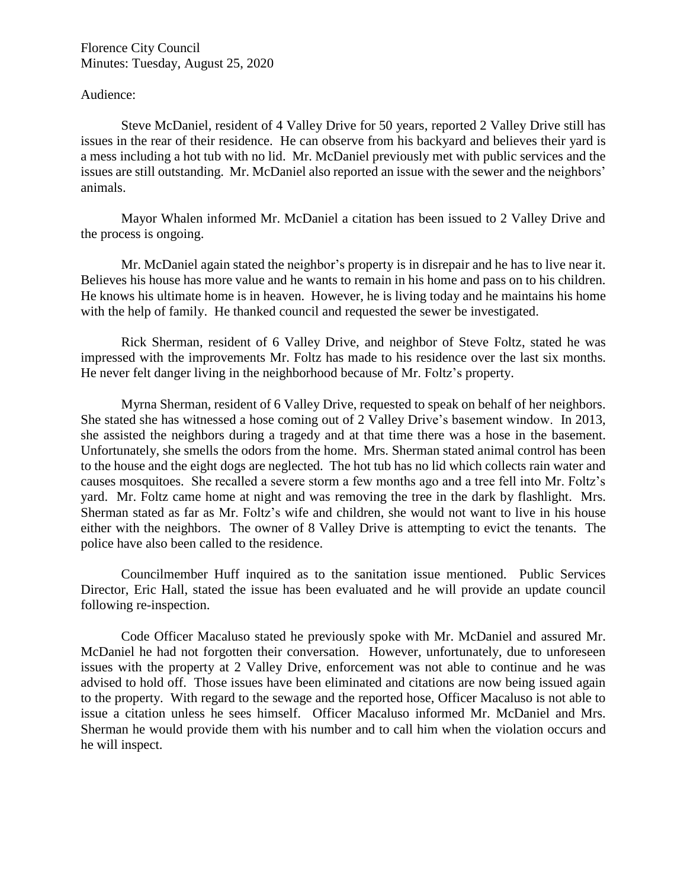#### Audience:

Steve McDaniel, resident of 4 Valley Drive for 50 years, reported 2 Valley Drive still has issues in the rear of their residence. He can observe from his backyard and believes their yard is a mess including a hot tub with no lid. Mr. McDaniel previously met with public services and the issues are still outstanding. Mr. McDaniel also reported an issue with the sewer and the neighbors' animals.

Mayor Whalen informed Mr. McDaniel a citation has been issued to 2 Valley Drive and the process is ongoing.

Mr. McDaniel again stated the neighbor's property is in disrepair and he has to live near it. Believes his house has more value and he wants to remain in his home and pass on to his children. He knows his ultimate home is in heaven. However, he is living today and he maintains his home with the help of family. He thanked council and requested the sewer be investigated.

Rick Sherman, resident of 6 Valley Drive, and neighbor of Steve Foltz, stated he was impressed with the improvements Mr. Foltz has made to his residence over the last six months. He never felt danger living in the neighborhood because of Mr. Foltz's property.

Myrna Sherman, resident of 6 Valley Drive, requested to speak on behalf of her neighbors. She stated she has witnessed a hose coming out of 2 Valley Drive's basement window. In 2013, she assisted the neighbors during a tragedy and at that time there was a hose in the basement. Unfortunately, she smells the odors from the home. Mrs. Sherman stated animal control has been to the house and the eight dogs are neglected. The hot tub has no lid which collects rain water and causes mosquitoes. She recalled a severe storm a few months ago and a tree fell into Mr. Foltz's yard. Mr. Foltz came home at night and was removing the tree in the dark by flashlight. Mrs. Sherman stated as far as Mr. Foltz's wife and children, she would not want to live in his house either with the neighbors. The owner of 8 Valley Drive is attempting to evict the tenants. The police have also been called to the residence.

Councilmember Huff inquired as to the sanitation issue mentioned. Public Services Director, Eric Hall, stated the issue has been evaluated and he will provide an update council following re-inspection.

Code Officer Macaluso stated he previously spoke with Mr. McDaniel and assured Mr. McDaniel he had not forgotten their conversation. However, unfortunately, due to unforeseen issues with the property at 2 Valley Drive, enforcement was not able to continue and he was advised to hold off. Those issues have been eliminated and citations are now being issued again to the property. With regard to the sewage and the reported hose, Officer Macaluso is not able to issue a citation unless he sees himself. Officer Macaluso informed Mr. McDaniel and Mrs. Sherman he would provide them with his number and to call him when the violation occurs and he will inspect.